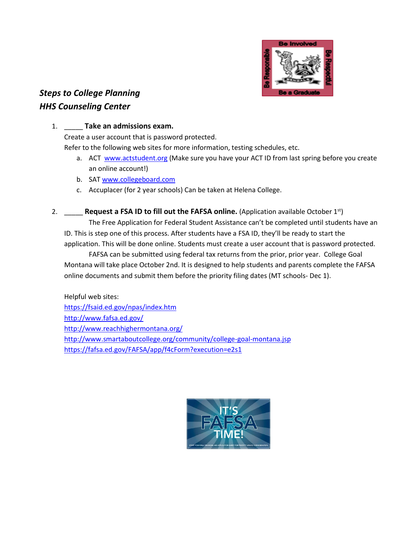

# *Steps to College Planning HHS Counseling Center*

#### 1. \_\_\_\_\_ **Take an admissions exam.**

Create a user account that is password protected.

Refer to the following web sites for more information, testing schedules, etc.

- a. ACT [www.actstudent.org](http://www.actstudent.org/) (Make sure you have your ACT ID from last spring before you create an online account!)
- b. SAT [www.collegeboard.com](http://www.collegeboard.com/)
- c. Accuplacer (for 2 year schools) Can be taken at Helena College.
- 2. \_\_\_\_\_ **Request a FSA ID to fill out the FAFSA online.** (Application available October 1st)

The Free Application for Federal Student Assistance can't be completed until students have an ID. This is step one of this process. After students have a FSA ID, they'll be ready to start the application. This will be done online. Students must create a user account that is password protected.

FAFSA can be submitted using federal tax returns from the prior, prior year. College Goal Montana will take place October 2nd. It is designed to help students and parents complete the FAFSA online documents and submit them before the priority filing dates (MT schools- Dec 1).

Helpful web sites: <https://fsaid.ed.gov/npas/index.htm> <http://www.fafsa.ed.gov/> <http://www.reachhighermontana.org/> <http://www.smartaboutcollege.org/community/college-goal-montana.jsp> <https://fafsa.ed.gov/FAFSA/app/f4cForm?execution=e2s1>

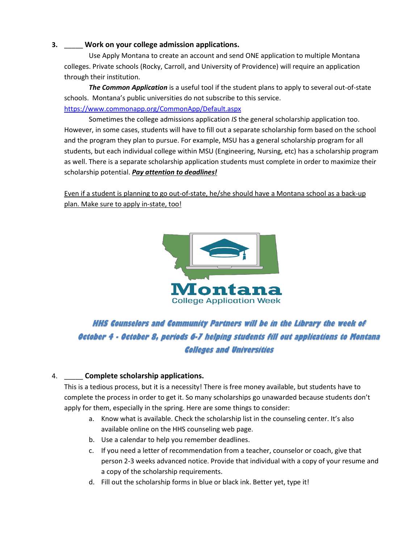### **3.** \_\_\_\_\_ **Work on your college admission applications.**

Use Apply Montana to create an account and send ONE application to multiple Montana colleges. Private schools (Rocky, Carroll, and University of Providence) will require an application through their institution.

*The Common Application* is a useful tool if the student plans to apply to several out-of-state schools. Montana's public universities do not subscribe to this service. <https://www.commonapp.org/CommonApp/Default.aspx>

Sometimes the college admissions application *IS* the general scholarship application too. However, in some cases, students will have to fill out a separate scholarship form based on the school and the program they plan to pursue. For example, MSU has a general scholarship program for all students, but each individual college within MSU (Engineering, Nursing, etc) has a scholarship program as well. There is a separate scholarship application students must complete in order to maximize their scholarship potential. *Pay attention to deadlines!*

Even if a student is planning to go out-of-state, he/she should have a Montana school as a back-up plan. Make sure to apply in-state, too!



## **HHS Counselors and Community Partners will be in the Library the week of October 4 - October 8, periods 6-7 helping students fill out applications to Montana Colleges and Universities**

## 4. \_\_\_\_\_ **Complete scholarship applications.**

This is a tedious process, but it is a necessity! There is free money available, but students have to complete the process in order to get it. So many scholarships go unawarded because students don't apply for them, especially in the spring. Here are some things to consider:

- a. Know what is available. Check the scholarship list in the counseling center. It's also available online on the HHS counseling web page.
- b. Use a calendar to help you remember deadlines.
- c. If you need a letter of recommendation from a teacher, counselor or coach, give that person 2-3 weeks advanced notice. Provide that individual with a copy of your resume and a copy of the scholarship requirements.
- d. Fill out the scholarship forms in blue or black ink. Better yet, type it!